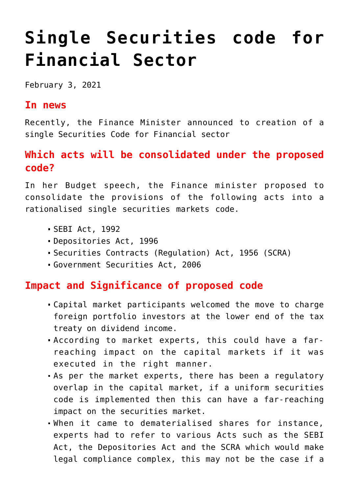# **[Single Securities code for](https://journalsofindia.com/single-securities-code-for-financial-sector/) [Financial Sector](https://journalsofindia.com/single-securities-code-for-financial-sector/)**

February 3, 2021

## **In news**

Recently, the Finance Minister announced to creation of a single Securities Code for Financial sector

# **Which acts will be consolidated under the proposed code?**

In her Budget speech, the Finance minister proposed to consolidate the provisions of the following acts into a rationalised single securities markets code.

- SEBI Act, 1992
- Depositories Act, 1996
- Securities Contracts (Regulation) Act, 1956 (SCRA)
- Government Securities Act, 2006

## **Impact and Significance of proposed code**

- Capital market participants welcomed the move to charge foreign portfolio investors at the lower end of the tax treaty on dividend income.
- According to market experts, this could have a farreaching impact on the capital markets if it was executed in the right manner.
- As per the market experts, there has been a regulatory overlap in the capital market, if a uniform securities code is implemented then this can have a far-reaching impact on the securities market.
- When it came to dematerialised shares for instance, experts had to refer to various Acts such as the SEBI Act, the Depositories Act and the SCRA which would make legal compliance complex, this may not be the case if a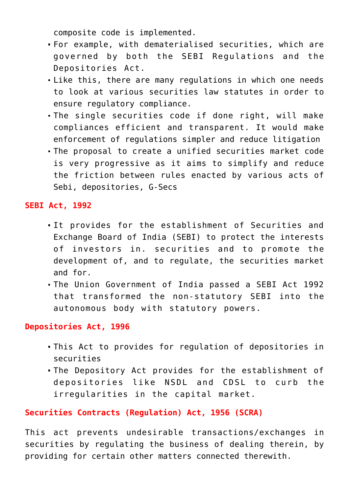composite code is implemented.

- For example, with dematerialised securities, which are governed by both the SEBI Regulations and the Depositories Act.
- Like this, there are many regulations in which one needs to look at various securities law statutes in order to ensure regulatory compliance.
- The single securities code if done right, will make compliances efficient and transparent. It would make enforcement of regulations simpler and reduce litigation
- The proposal to create a unified securities market code is very progressive as it aims to simplify and reduce the friction between rules enacted by various acts of Sebi, depositories, G-Secs

#### **SEBI Act, 1992**

- It provides for the establishment of Securities and Exchange Board of India (SEBI) to protect the interests of investors in. securities and to promote the development of, and to regulate, the securities market and for.
- The Union Government of India passed a SEBI Act 1992 that transformed the non-statutory SEBI into the autonomous body with statutory powers.

#### **Depositories Act, 1996**

- This Act to provides for regulation of depositories in securities
- The Depository Act provides for the establishment of depositories like NSDL and CDSL to curb the irregularities in the capital market.

### **Securities Contracts (Regulation) Act, 1956 (SCRA)**

This act prevents undesirable transactions/exchanges in securities by regulating the business of dealing therein, by providing for certain other matters connected therewith.